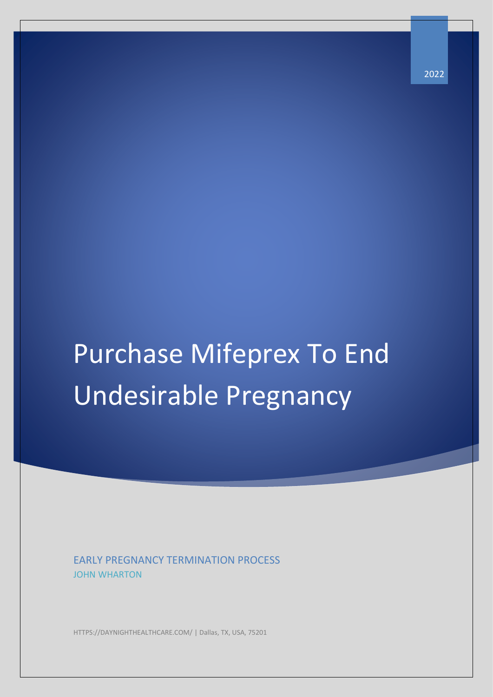# Purchase Mifeprex To End Undesirable Pregnancy

EARLY PREGNANCY TERMINATION PROCESS JOHN WHARTON

HTTPS://DAYNIGHTHEALTHCARE.COM/ | Dallas, TX, USA, 75201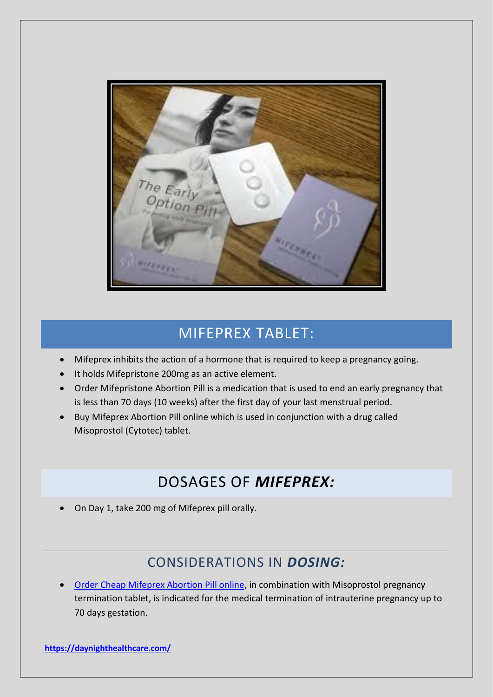

## MIFEPREX TABLET:

- Mifeprex inhibits the action of a hormone that is required to keep a pregnancy going.
- It holds Mifepristone 200mg as an active element.
- Order Mifepristone Abortion Pill is a medication that is used to end an early pregnancy that is less than 70 days (10 weeks) after the first day of your last menstrual period.
- Buy Mifeprex Abortion Pill online which is used in conjunction with a drug called Misoprostol (Cytotec) tablet.

## DOSAGES OF *MIFEPREX:*

• On Day 1, take 200 mg of Mifeprex pill orally.

#### CONSIDERATIONS IN *DOSING:*

• [Order Cheap Mifeprex Abortion Pill online,](https://daynighthealthcare.com/product/mifegest) in combination with Misoprostol pregnancy termination tablet, is indicated for the medical termination of intrauterine pregnancy up to 70 days gestation.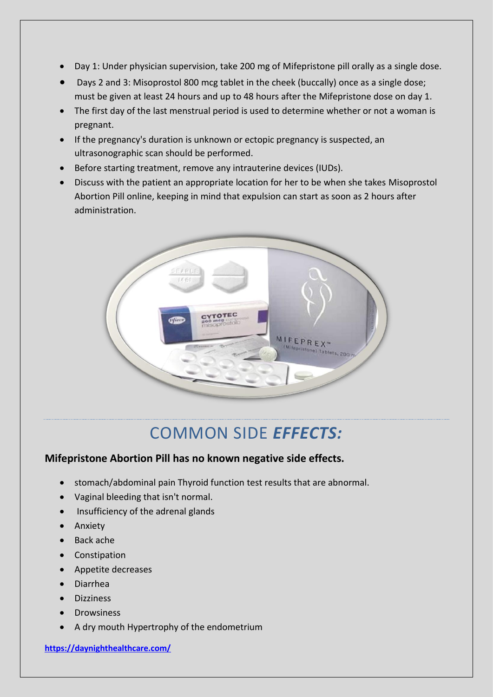- Day 1: Under physician supervision, take 200 mg of Mifepristone pill orally as a single dose.
- Days 2 and 3: Misoprostol 800 mcg tablet in the cheek (buccally) once as a single dose; must be given at least 24 hours and up to 48 hours after the Mifepristone dose on day 1.
- The first day of the last menstrual period is used to determine whether or not a woman is pregnant.
- If the pregnancy's duration is unknown or ectopic pregnancy is suspected, an ultrasonographic scan should be performed.
- Before starting treatment, remove any intrauterine devices (IUDs).
- Discuss with the patient an appropriate location for her to be when she takes Misoprostol Abortion Pill online, keeping in mind that expulsion can start as soon as 2 hours after administration.



## COMMON SIDE *EFFECTS:*

#### **Mifepristone Abortion Pill has no known negative side effects.**

- stomach/abdominal pain Thyroid function test results that are abnormal.
- Vaginal bleeding that isn't normal.
- Insufficiency of the adrenal glands
- Anxiety
- Back ache
- Constipation
- Appetite decreases
- Diarrhea
- Dizziness
- **Drowsiness**
- A dry mouth Hypertrophy of the endometrium

**<https://daynighthealthcare.com/>**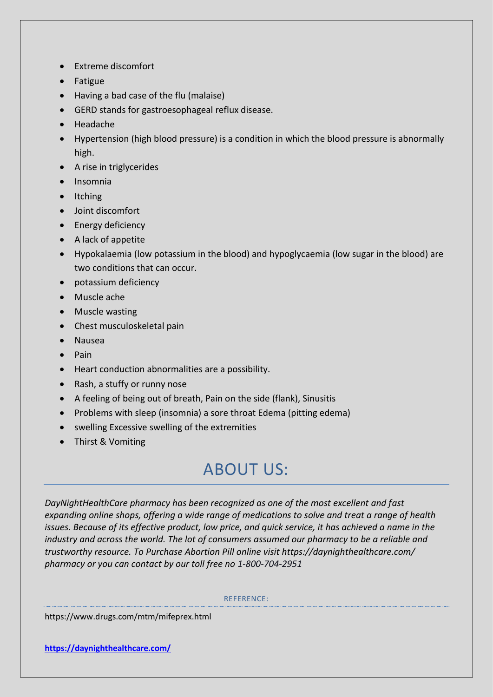- Extreme discomfort
- Fatigue
- Having a bad case of the flu (malaise)
- GERD stands for gastroesophageal reflux disease.
- Headache
- Hypertension (high blood pressure) is a condition in which the blood pressure is abnormally high.
- A rise in triglycerides
- Insomnia
- Itching
- Joint discomfort
- Energy deficiency
- A lack of appetite
- Hypokalaemia (low potassium in the blood) and hypoglycaemia (low sugar in the blood) are two conditions that can occur.
- potassium deficiency
- Muscle ache
- Muscle wasting
- Chest musculoskeletal pain
- Nausea
- Pain
- Heart conduction abnormalities are a possibility.
- Rash, a stuffy or runny nose
- A feeling of being out of breath, Pain on the side (flank), Sinusitis
- Problems with sleep (insomnia) a sore throat Edema (pitting edema)
- swelling Excessive swelling of the extremities
- Thirst & Vomiting

# ABOUT US:

*DayNightHealthCare pharmacy has been recognized as one of the most excellent and fast expanding online shops, offering a wide range of medications to solve and treat a range of health issues. Because of its effective product, low price, and quick service, it has achieved a name in the industry and across the world. The lot of consumers assumed our pharmacy to be a reliable and trustworthy resource. To Purchase Abortion Pill online visit https://daynighthealthcare.com/ pharmacy or you can contact by our toll free no 1-800-704-2951*

#### REFERENCE:

https://www.drugs.com/mtm/mifeprex.html